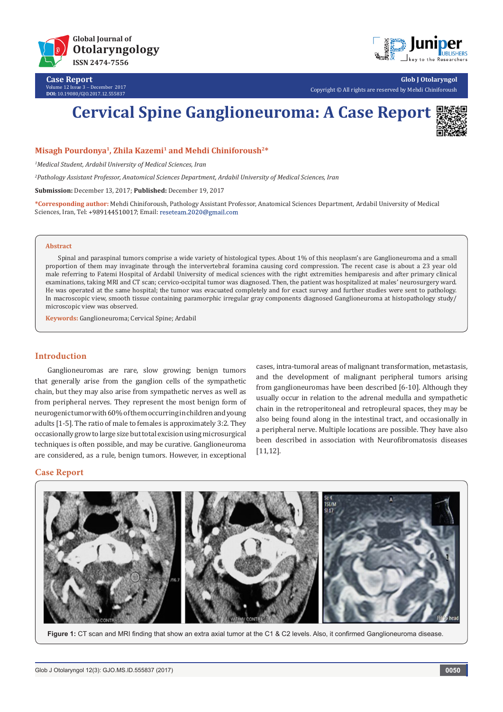

**Case Report** Volume 12 Issue 3 - December 2017 **DOI:** [10.19080/GJO.2017.12.555837](http://dx.doi.org/10.19080/GJO.2017.12.555837)



**Glob J Otolaryngol** Copyright © All rights are reserved by Mehdi Chiniforoush

# **Cervical Spine Ganglioneuroma: A Case Report**



**Misagh Pourdonya1, Zhila Kazemi1 and Mehdi Chiniforoush2\***

*1 Medical Student, Ardabil University of Medical Sciences, Iran*

*2 Pathology Assistant Professor, Anatomical Sciences Department, Ardabil University of Medical Sciences, Iran*

**Submission:** December 13, 2017; **Published:** December 19, 2017

**\*Corresponding author:** Mehdi Chiniforoush, Pathology Assistant Professor, Anatomical Sciences Department, Ardabil University of Medical Sciences, Iran, Tel: +989144510017; Email: reseteam.2020@gmail.com

#### **Abstract**

Spinal and paraspinal tumors comprise a wide variety of histological types. About 1% of this neoplasm's are Ganglioneuroma and a small proportion of them may invaginate through the intervertebral foramina causing cord compression. The recent case is about a 23 year old male referring to Fatemi Hospital of Ardabil University of medical sciences with the right extremities hemiparesis and after primary clinical examinations, taking MRI and CT scan; cervico-occipital tumor was diagnosed. Then, the patient was hospitalized at males' neurosurgery ward. He was operated at the same hospital; the tumor was evacuated completely and for exact survey and further studies were sent to pathology. In macroscopic view, smooth tissue containing paramorphic irregular gray components diagnosed Ganglioneuroma at histopathology study/ microscopic view was observed.

**Keywords:** Ganglioneuroma; Cervical Spine; Ardabil

## **Introduction**

Ganglioneuromas are rare, slow growing; benign tumors that generally arise from the ganglion cells of the sympathetic chain, but they may also arise from sympathetic nerves as well as from peripheral nerves. They represent the most benign form of neurogenic tumor with 60% of them occurring in children and young adults [1-5]. The ratio of male to females is approximately 3:2. They occasionally grow to large size but total excision using microsurgical techniques is often possible, and may be curative. Ganglioneuroma are considered, as a rule, benign tumors. However, in exceptional

cases, intra-tumoral areas of malignant transformation, metastasis, and the development of malignant peripheral tumors arising from ganglioneuromas have been described [6-10]. Although they usually occur in relation to the adrenal medulla and sympathetic chain in the retroperitoneal and retropleural spaces, they may be also being found along in the intestinal tract, and occasionally in a peripheral nerve. Multiple locations are possible. They have also been described in association with Neurofibromatosis diseases [11,12].

## **Case Report**



 **Figure 1:** CT scan and MRI finding that show an extra axial tumor at the C1 & C2 levels. Also, it confirmed Ganglioneuroma disease.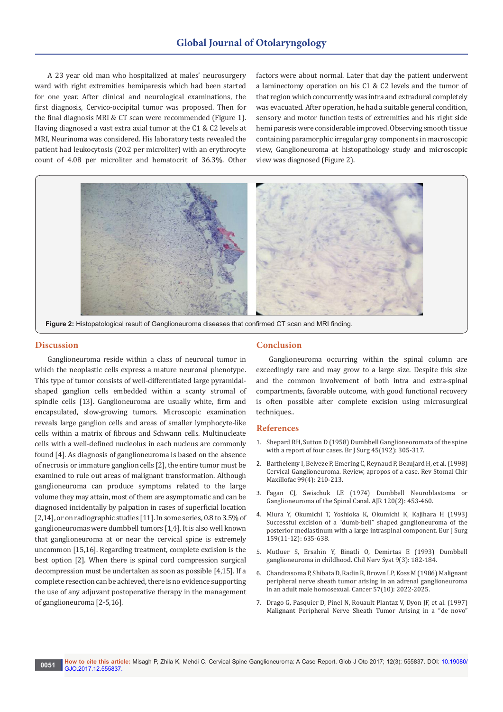A 23 year old man who hospitalized at males' neurosurgery ward with right extremities hemiparesis which had been started for one year. After clinical and neurological examinations, the first diagnosis, Cervico-occipital tumor was proposed. Then for the final diagnosis MRI & CT scan were recommended (Figure 1). Having diagnosed a vast extra axial tumor at the C1 & C2 levels at MRI, Neurinoma was considered. His laboratory tests revealed the patient had leukocytosis (20.2 per microliter) with an erythrocyte count of 4.08 per microliter and hematocrit of 36.3%. Other factors were about normal. Later that day the patient underwent a laminectomy operation on his C1 & C2 levels and the tumor of that region which concurrently was intra and extradural completely was evacuated. After operation, he had a suitable general condition, sensory and motor function tests of extremities and his right side hemi paresis were considerable improved. Observing smooth tissue containing paramorphic irregular gray components in macroscopic view, Ganglioneuroma at histopathology study and microscopic view was diagnosed (Figure 2).



**Figure 2:** Histopatological result of Ganglioneuroma diseases that confirmed CT scan and MRI finding.

### **Discussion**

Ganglioneuroma reside within a class of neuronal tumor in which the neoplastic cells express a mature neuronal phenotype. This type of tumor consists of well-differentiated large pyramidalshaped ganglion cells embedded within a scanty stromal of spindle cells [13]. Ganglioneuroma are usually white, firm and encapsulated, slow-growing tumors. Microscopic examination reveals large ganglion cells and areas of smaller lymphocyte-like cells within a matrix of fibrous and Schwann cells. Multinucleate cells with a well-defined nucleolus in each nucleus are commonly found [4]. As diagnosis of ganglioneuroma is based on the absence of necrosis or immature ganglion cells [2], the entire tumor must be examined to rule out areas of malignant transformation. Although ganglioneuroma can produce symptoms related to the large volume they may attain, most of them are asymptomatic and can be diagnosed incidentally by palpation in cases of superficial location [2,14], or on radiographic studies [11]. In some series, 0.8 to 3.5% of ganglioneuromas were dumbbell tumors [1,4]. It is also well known that ganglioneuroma at or near the cervical spine is extremely uncommon [15,16]. Regarding treatment, complete excision is the best option [2]. When there is spinal cord compression surgical decompression must be undertaken as soon as possible [4,15]. If a complete resection can be achieved, there is no evidence supporting the use of any adjuvant postoperative therapy in the management of ganglioneuroma [2-5,16].

### **Conclusion**

Ganglioneuroma occurring within the spinal column are exceedingly rare and may grow to a large size. Despite this size and the common involvement of both intra and extra-spinal compartments, favorable outcome, with good functional recovery is often possible after complete excision using microsurgical techniques..

## **References**

- 1. [Shepard RH, Sutton D \(1958\) Dumbbell Ganglioneoromata of the spine](http://onlinelibrary.wiley.com/doi/10.1002/bjs.18004519202/abstract)  [with a report of four cases. Br J Surg 45\(192\): 305-317.](http://onlinelibrary.wiley.com/doi/10.1002/bjs.18004519202/abstract)
- 2. [Barthelemy I, Belveze P, Emering C, Reynaud P, Beaujard H, et al. \(1998\)](https://www.ncbi.nlm.nih.gov/pubmed/10088194)  [Cervical Ganglioneuroma. Review, apropos of a case. Rev Stomal Chir](https://www.ncbi.nlm.nih.gov/pubmed/10088194)  [Maxillofac 99\(4\): 210-213.](https://www.ncbi.nlm.nih.gov/pubmed/10088194)
- 3. [Fagan CJ, Swischuk LE \(1974\) Dumbbell Neuroblastoma or](http://www.ajronline.org/doi/abs/10.2214/ajr.120.2.453)  [Ganglioneuroma of the Spinal Canal. AJR 120\(2\): 453-460.](http://www.ajronline.org/doi/abs/10.2214/ajr.120.2.453)
- 4. [Miura Y, Okumichi T, Yoshioka K, Okumichi K, Kajihara H \(1993\)](https://www.ncbi.nlm.nih.gov/pubmed/8130308)  [Successful excision of a "dumb-bell" shaped ganglioneuroma of the](https://www.ncbi.nlm.nih.gov/pubmed/8130308)  [posterior mediastinum with a large intraspinal component. Eur J Surg](https://www.ncbi.nlm.nih.gov/pubmed/8130308)  [159\(11-12\): 635-638.](https://www.ncbi.nlm.nih.gov/pubmed/8130308)
- 5. [Mutluer S, Ersahin Y, Binatli O, Demirtas E \(1993\) Dumbbell](https://link.springer.com/article/10.1007/BF00272274)  [ganglioneuroma in childhood. Chil Nerv Syst 9\(3\): 182-184.](https://link.springer.com/article/10.1007/BF00272274)
- 6. [Chandrasoma P, Shibata D, Radin R, Brown LP, Koss M \(1986\) Malignant](https://www.ncbi.nlm.nih.gov/pubmed/3955508)  [peripheral nerve sheath tumor arising in an adrenal ganglioneuroma](https://www.ncbi.nlm.nih.gov/pubmed/3955508)  [in an adult male homosexual. Cancer 57\(10\): 2022-2025.](https://www.ncbi.nlm.nih.gov/pubmed/3955508)
- 7. [Drago G, Pasquier D, Pinel N, Rouault Plantaz V, Dyon JF, et al. \(1997\)](https://www.ncbi.nlm.nih.gov/pubmed/9024521)  [Malignant Peripheral Nerve Sheath Tumor Arising in a "de novo"](https://www.ncbi.nlm.nih.gov/pubmed/9024521)